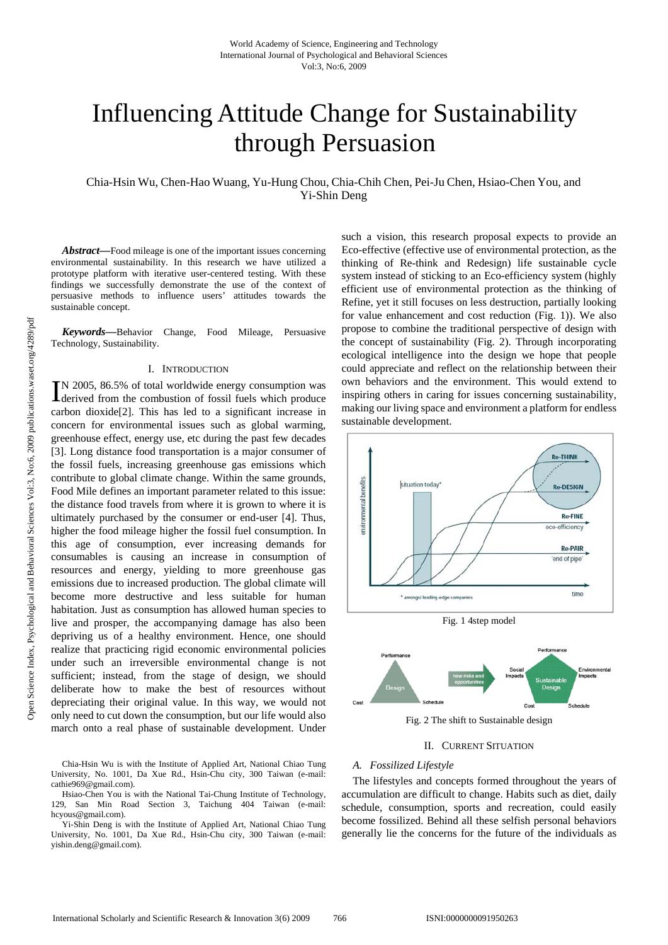# Influencing Attitude Change for Sustainability through Persuasion

Chia-Hsin Wu, Chen-Hao Wuang, Yu-Hung Chou, Chia-Chih Chen, Pei-Ju Chen, Hsiao-Chen You, and Yi-Shin Deng

*Abstract—*Food mileage is one of the important issues concerning environmental sustainability. In this research we have utilized a prototype platform with iterative user-centered testing. With these findings we successfully demonstrate the use of the context of persuasive methods to influence users' attitudes towards the sustainable concept.

*Keywords—*Behavior Change, Food Mileage, Persuasive Technology, Sustainability.

### I. INTRODUCTION

N 2005, 86.5% of total worldwide energy consumption was IN 2005, 86.5% of total worldwide energy consumption was derived from the combustion of fossil fuels which produce carbon dioxide[2]. This has led to a significant increase in concern for environmental issues such as global warming, greenhouse effect, energy use, etc during the past few decades [3]. Long distance food transportation is a major consumer of the fossil fuels, increasing greenhouse gas emissions which contribute to global climate change. Within the same grounds, Food Mile defines an important parameter related to this issue: the distance food travels from where it is grown to where it is ultimately purchased by the consumer or end-user [4]. Thus, higher the food mileage higher the fossil fuel consumption. In this age of consumption, ever increasing demands for consumables is causing an increase in consumption of resources and energy, yielding to more greenhouse gas emissions due to increased production. The global climate will become more destructive and less suitable for human habitation. Just as consumption has allowed human species to live and prosper, the accompanying damage has also been depriving us of a healthy environment. Hence, one should realize that practicing rigid economic environmental policies under such an irreversible environmental change is not sufficient; instead, from the stage of design, we should deliberate how to make the best of resources without depreciating their original value. In this way, we would not only need to cut down the consumption, but our life would also march onto a real phase of sustainable development. Under

Chia-Hsin Wu is with the Institute of Applied Art, National Chiao Tung University, No. 1001, Da Xue Rd., Hsin-Chu city, 300 Taiwan (e-mail: cathie969@gmail.com).

Hsiao-Chen You is with the National Tai-Chung Institute of Technology, 129, San Min Road Section 3, Taichung 404 Taiwan (e-mail: hcyous@gmail.com).

Yi-Shin Deng is with the Institute of Applied Art, National Chiao Tung University, No. 1001, Da Xue Rd., Hsin-Chu city, 300 Taiwan (e-mail: yishin.deng@gmail.com).

such a vision, this research proposal expects to provide an Eco-effective (effective use of environmental protection, as the thinking of Re-think and Redesign) life sustainable cycle system instead of sticking to an Eco-efficiency system (highly efficient use of environmental protection as the thinking of Refine, yet it still focuses on less destruction, partially looking for value enhancement and cost reduction (Fig. 1)). We also propose to combine the traditional perspective of design with the concept of sustainability (Fig. 2). Through incorporating ecological intelligence into the design we hope that people could appreciate and reflect on the relationship between their own behaviors and the environment. This would extend to inspiring others in caring for issues concerning sustainability, making our living space and environment a platform for endless sustainable development.



Fig. 1 4step model



Fig. 2 The shift to Sustainable design

#### II. CURRENT SITUATION

#### *A. Fossilized Lifestyle*

The lifestyles and concepts formed throughout the years of accumulation are difficult to change. Habits such as diet, daily schedule, consumption, sports and recreation, could easily become fossilized. Behind all these selfish personal behaviors generally lie the concerns for the future of the individuals as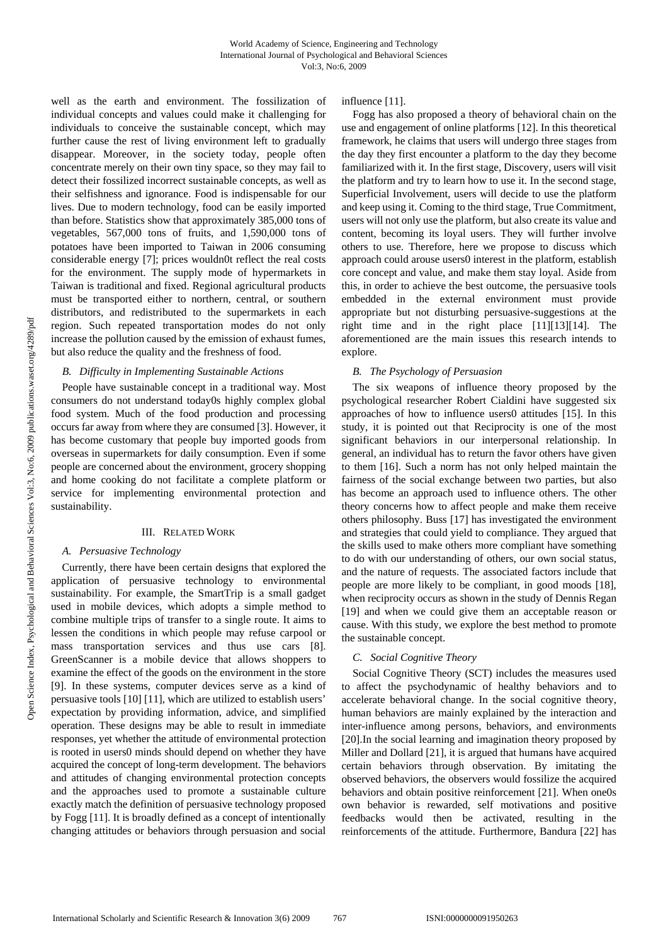well as the earth and environment. The fossilization of individual concepts and values could make it challenging for individuals to conceive the sustainable concept, which may further cause the rest of living environment left to gradually disappear. Moreover, in the society today, people often concentrate merely on their own tiny space, so they may fail to detect their fossilized incorrect sustainable concepts, as well as their selfishness and ignorance. Food is indispensable for our lives. Due to modern technology, food can be easily imported than before. Statistics show that approximately 385,000 tons of vegetables, 567,000 tons of fruits, and 1,590,000 tons of potatoes have been imported to Taiwan in 2006 consuming considerable energy [7]; prices wouldn0t reflect the real costs for the environment. The supply mode of hypermarkets in Taiwan is traditional and fixed. Regional agricultural products must be transported either to northern, central, or southern distributors, and redistributed to the supermarkets in each region. Such repeated transportation modes do not only increase the pollution caused by the emission of exhaust fumes, but also reduce the quality and the freshness of food.

# *B. Difficulty in Implementing Sustainable Actions*

People have sustainable concept in a traditional way. Most consumers do not understand today0s highly complex global food system. Much of the food production and processing occurs far away from where they are consumed [3]. However, it has become customary that people buy imported goods from overseas in supermarkets for daily consumption. Even if some people are concerned about the environment, grocery shopping and home cooking do not facilitate a complete platform or service for implementing environmental protection and sustainability.

# III. RELATED WORK

### *A. Persuasive Technology*

Currently, there have been certain designs that explored the application of persuasive technology to environmental sustainability. For example, the SmartTrip is a small gadget used in mobile devices, which adopts a simple method to combine multiple trips of transfer to a single route. It aims to lessen the conditions in which people may refuse carpool or mass transportation services and thus use cars [8]. GreenScanner is a mobile device that allows shoppers to examine the effect of the goods on the environment in the store [9]. In these systems, computer devices serve as a kind of persuasive tools [10] [11], which are utilized to establish users' expectation by providing information, advice, and simplified operation. These designs may be able to result in immediate responses, yet whether the attitude of environmental protection is rooted in users0 minds should depend on whether they have acquired the concept of long-term development. The behaviors and attitudes of changing environmental protection concepts and the approaches used to promote a sustainable culture exactly match the definition of persuasive technology proposed by Fogg [11]. It is broadly defined as a concept of intentionally changing attitudes or behaviors through persuasion and social influence [11].

Fogg has also proposed a theory of behavioral chain on the use and engagement of online platforms [12]. In this theoretical framework, he claims that users will undergo three stages from the day they first encounter a platform to the day they become familiarized with it. In the first stage, Discovery, users will visit the platform and try to learn how to use it. In the second stage, Superficial Involvement, users will decide to use the platform and keep using it. Coming to the third stage, True Commitment, users will not only use the platform, but also create its value and content, becoming its loyal users. They will further involve others to use. Therefore, here we propose to discuss which approach could arouse users0 interest in the platform, establish core concept and value, and make them stay loyal. Aside from this, in order to achieve the best outcome, the persuasive tools embedded in the external environment must provide appropriate but not disturbing persuasive-suggestions at the right time and in the right place [11][13][14]. The aforementioned are the main issues this research intends to explore.

# *B. The Psychology of Persuasion*

The six weapons of influence theory proposed by the psychological researcher Robert Cialdini have suggested six approaches of how to influence users0 attitudes [15]. In this study, it is pointed out that Reciprocity is one of the most significant behaviors in our interpersonal relationship. In general, an individual has to return the favor others have given to them [16]. Such a norm has not only helped maintain the fairness of the social exchange between two parties, but also has become an approach used to influence others. The other theory concerns how to affect people and make them receive others philosophy. Buss [17] has investigated the environment and strategies that could yield to compliance. They argued that the skills used to make others more compliant have something to do with our understanding of others, our own social status, and the nature of requests. The associated factors include that people are more likely to be compliant, in good moods [18], when reciprocity occurs as shown in the study of Dennis Regan [19] and when we could give them an acceptable reason or cause. With this study, we explore the best method to promote the sustainable concept.

### *C. Social Cognitive Theory*

Social Cognitive Theory (SCT) includes the measures used to affect the psychodynamic of healthy behaviors and to accelerate behavioral change. In the social cognitive theory, human behaviors are mainly explained by the interaction and inter-influence among persons, behaviors, and environments [20].In the social learning and imagination theory proposed by Miller and Dollard [21], it is argued that humans have acquired certain behaviors through observation. By imitating the observed behaviors, the observers would fossilize the acquired behaviors and obtain positive reinforcement [21]. When one0s own behavior is rewarded, self motivations and positive feedbacks would then be activated, resulting in the reinforcements of the attitude. Furthermore, Bandura [22] has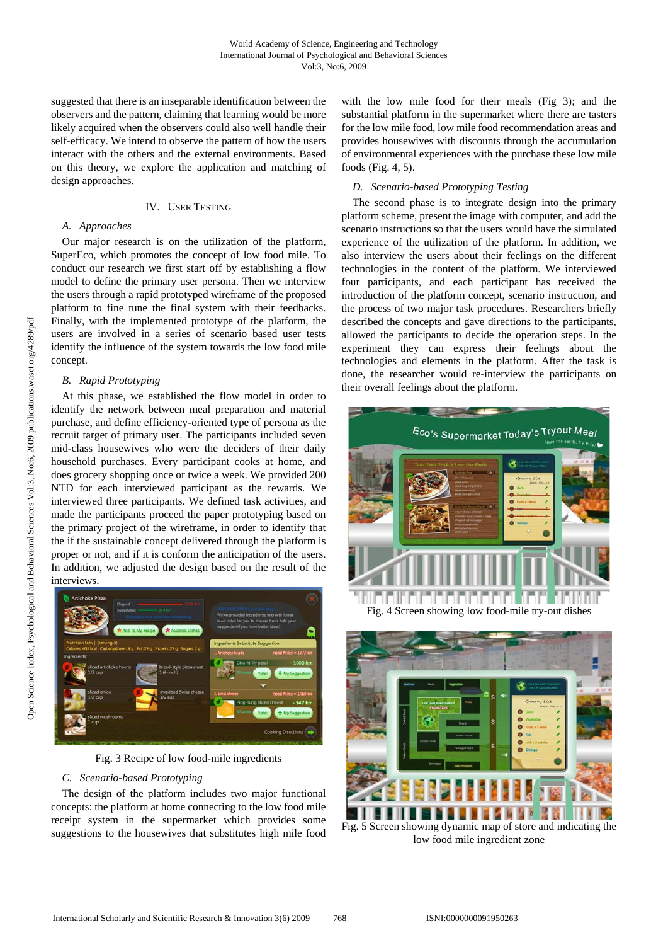suggested that there is an inseparable identification between the observers and the pattern, claiming that learning would be more likely acquired when the observers could also well handle their self-efficacy. We intend to observe the pattern of how the users interact with the others and the external environments. Based on this theory, we explore the application and matching of design approaches.

# IV. USER TESTING

# *A. Approaches*

Our major research is on the utilization of the platform, SuperEco, which promotes the concept of low food mile. To conduct our research we first start off by establishing a flow model to define the primary user persona. Then we interview the users through a rapid prototyped wireframe of the proposed platform to fine tune the final system with their feedbacks. Finally, with the implemented prototype of the platform, the users are involved in a series of scenario based user tests identify the influence of the system towards the low food mile concept.

# *B. Rapid Prototyping*

At this phase, we established the flow model in order to identify the network between meal preparation and material purchase, and define efficiency-oriented type of persona as the recruit target of primary user. The participants included seven mid-class housewives who were the deciders of their daily household purchases. Every participant cooks at home, and does grocery shopping once or twice a week. We provided 200 NTD for each interviewed participant as the rewards. We interviewed three participants. We defined task activities, and made the participants proceed the paper prototyping based on the primary project of the wireframe, in order to identify that the if the sustainable concept delivered through the platform is proper or not, and if it is conform the anticipation of the users. In addition, we adjusted the design based on the result of the interviews.



Fig. 3 Recipe of low food-mile ingredients

# *C. Scenario-based Prototyping*

The design of the platform includes two major functional concepts: the platform at home connecting to the low food mile receipt system in the supermarket which provides some suggestions to the housewives that substitutes high mile food with the low mile food for their meals (Fig 3); and the substantial platform in the supermarket where there are tasters for the low mile food, low mile food recommendation areas and provides housewives with discounts through the accumulation of environmental experiences with the purchase these low mile foods (Fig. 4, 5).

#### *D. Scenario-based Prototyping Testing*

The second phase is to integrate design into the primary platform scheme, present the image with computer, and add the scenario instructions so that the users would have the simulated experience of the utilization of the platform. In addition, we also interview the users about their feelings on the different technologies in the content of the platform. We interviewed four participants, and each participant has received the introduction of the platform concept, scenario instruction, and the process of two major task procedures. Researchers briefly described the concepts and gave directions to the participants, allowed the participants to decide the operation steps. In the experiment they can express their feelings about the technologies and elements in the platform. After the task is done, the researcher would re-interview the participants on their overall feelings about the platform.





low food mile ingredient zone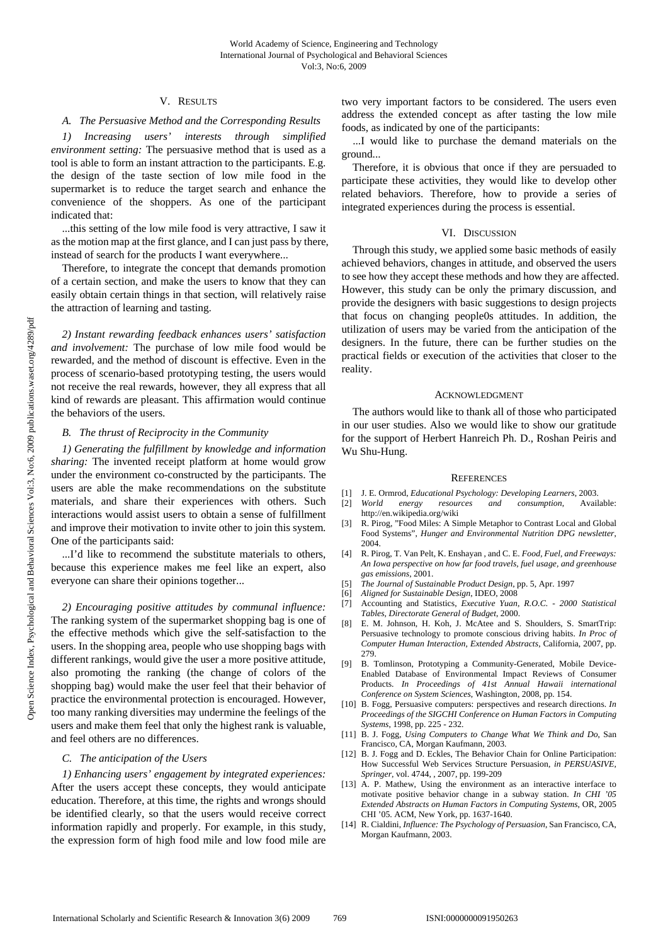# V. RESULTS

# *A. The Persuasive Method and the Corresponding Results*

*1) Increasing users' interests through simplified environment setting:* The persuasive method that is used as a tool is able to form an instant attraction to the participants. E.g. the design of the taste section of low mile food in the supermarket is to reduce the target search and enhance the convenience of the shoppers. As one of the participant indicated that:

...this setting of the low mile food is very attractive, I saw it as the motion map at the first glance, and I can just pass by there, instead of search for the products I want everywhere...

Therefore, to integrate the concept that demands promotion of a certain section, and make the users to know that they can easily obtain certain things in that section, will relatively raise the attraction of learning and tasting.

*2) Instant rewarding feedback enhances users' satisfaction and involvement:* The purchase of low mile food would be rewarded, and the method of discount is effective. Even in the process of scenario-based prototyping testing, the users would not receive the real rewards, however, they all express that all kind of rewards are pleasant. This affirmation would continue the behaviors of the users.

# *B. The thrust of Reciprocity in the Community*

*1) Generating the fulfillment by knowledge and information sharing:* The invented receipt platform at home would grow under the environment co-constructed by the participants. The users are able the make recommendations on the substitute materials, and share their experiences with others. Such interactions would assist users to obtain a sense of fulfillment and improve their motivation to invite other to join this system. One of the participants said:

...I'd like to recommend the substitute materials to others, because this experience makes me feel like an expert, also everyone can share their opinions together...

*2) Encouraging positive attitudes by communal influence:*  The ranking system of the supermarket shopping bag is one of the effective methods which give the self-satisfaction to the users. In the shopping area, people who use shopping bags with different rankings, would give the user a more positive attitude, also promoting the ranking (the change of colors of the shopping bag) would make the user feel that their behavior of practice the environmental protection is encouraged. However, too many ranking diversities may undermine the feelings of the users and make them feel that only the highest rank is valuable, and feel others are no differences.

# *C. The anticipation of the Users*

*1) Enhancing users' engagement by integrated experiences:*  After the users accept these concepts, they would anticipate education. Therefore, at this time, the rights and wrongs should be identified clearly, so that the users would receive correct information rapidly and properly. For example, in this study, the expression form of high food mile and low food mile are two very important factors to be considered. The users even address the extended concept as after tasting the low mile foods, as indicated by one of the participants:

...I would like to purchase the demand materials on the ground...

Therefore, it is obvious that once if they are persuaded to participate these activities, they would like to develop other related behaviors. Therefore, how to provide a series of integrated experiences during the process is essential.

### VI. DISCUSSION

Through this study, we applied some basic methods of easily achieved behaviors, changes in attitude, and observed the users to see how they accept these methods and how they are affected. However, this study can be only the primary discussion, and provide the designers with basic suggestions to design projects that focus on changing people0s attitudes. In addition, the utilization of users may be varied from the anticipation of the designers. In the future, there can be further studies on the practical fields or execution of the activities that closer to the reality.

#### ACKNOWLEDGMENT

The authors would like to thank all of those who participated in our user studies. Also we would like to show our gratitude for the support of Herbert Hanreich Ph. D., Roshan Peiris and Wu Shu-Hung.

#### **REFERENCES**

- [1] J. E. Ormrod, *Educational Psychology: Developing Learners*, 2003.
- [2] *World energy resources and consumption*, Available: http://en.wikipedia.org/wiki
- [3] R. Pirog, "Food Miles: A Simple Metaphor to Contrast Local and Global Food Systems", *Hunger and Environmental Nutrition DPG newsletter*, 2004.
- [4] R. Pirog, T. Van Pelt, K. Enshayan , and C. E. *Food, Fuel, and Freeways: An Iowa perspective on how far food travels, fuel usage, and greenhouse gas emissions*, 2001.
- [5] *The Journal of Sustainable Product Design*, pp. 5, Apr. 1997
- [6] *Aligned for Sustainable Design*, IDEO, 2008
- [7] Accounting and Statistics, *Executive Yuan, R.O.C. 2000 Statistical Tables, Directorate General of Budget*, 2000.
- [8] E. M. Johnson, H. Koh, J. McAtee and S. Shoulders, S. SmartTrip: Persuasive technology to promote conscious driving habits. *In Proc of Computer Human Interaction, Extended Abstracts*, California, 2007, pp. 279.
- [9] B. Tomlinson, Prototyping a Community-Generated, Mobile Device-Enabled Database of Environmental Impact Reviews of Consumer Products. *In Proceedings of 41st Annual Hawaii international Conference on System Sciences*, Washington, 2008, pp. 154.
- [10] B. Fogg, Persuasive computers: perspectives and research directions. *In Proceedings of the SIGCHI Conference on Human Factors in Computing Systems*, 1998, pp. 225 - 232.
- [11] B. J. Fogg, *Using Computers to Change What We Think and Do*, San Francisco, CA, Morgan Kaufmann, 2003.
- [12] B. J. Fogg and D. Eckles, The Behavior Chain for Online Participation: How Successful Web Services Structure Persuasion, *in PERSUASIVE, Springer*, vol. 4744, , 2007, pp. 199-209
- [13] A. P. Mathew, Using the environment as an interactive interface to motivate positive behavior change in a subway station. *In CHI '05 Extended Abstracts on Human Factors in Computing Systems*, OR, 2005 CHI '05. ACM, New York, pp. 1637-1640.
- [14] R. Cialdini, *Influence: The Psychology of Persuasion*, San Francisco, CA, Morgan Kaufmann, 2003.